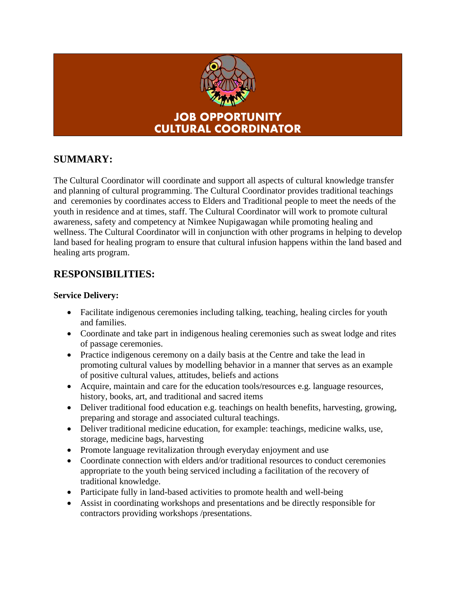

## **SUMMARY:**

The Cultural Coordinator will coordinate and support all aspects of cultural knowledge transfer and planning of cultural programming. The Cultural Coordinator provides traditional teachings and ceremonies by coordinates access to Elders and Traditional people to meet the needs of the youth in residence and at times, staff. The Cultural Coordinator will work to promote cultural awareness, safety and competency at Nimkee Nupigawagan while promoting healing and wellness. The Cultural Coordinator will in conjunction with other programs in helping to develop land based for healing program to ensure that cultural infusion happens within the land based and healing arts program.

## **RESPONSIBILITIES:**

#### **Service Delivery:**

- Facilitate indigenous ceremonies including talking, teaching, healing circles for youth and families.
- Coordinate and take part in indigenous healing ceremonies such as sweat lodge and rites of passage ceremonies.
- Practice indigenous ceremony on a daily basis at the Centre and take the lead in promoting cultural values by modelling behavior in a manner that serves as an example of positive cultural values, attitudes, beliefs and actions
- Acquire, maintain and care for the education tools/resources e.g. language resources, history, books, art, and traditional and sacred items
- Deliver traditional food education e.g. teachings on health benefits, harvesting, growing, preparing and storage and associated cultural teachings.
- Deliver traditional medicine education, for example: teachings, medicine walks, use, storage, medicine bags, harvesting
- Promote language revitalization through everyday enjoyment and use
- Coordinate connection with elders and/or traditional resources to conduct ceremonies appropriate to the youth being serviced including a facilitation of the recovery of traditional knowledge.
- Participate fully in land-based activities to promote health and well-being
- Assist in coordinating workshops and presentations and be directly responsible for contractors providing workshops /presentations.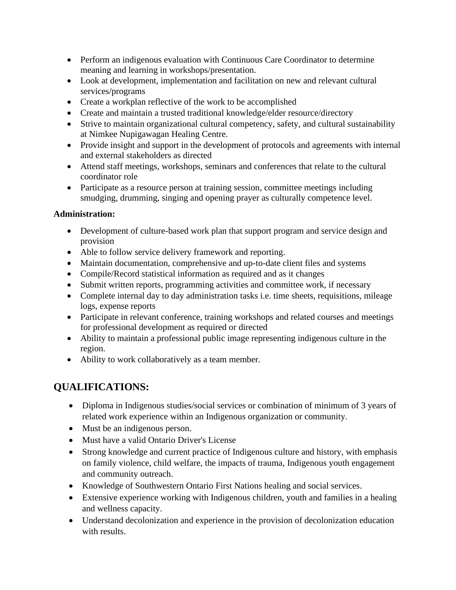- Perform an indigenous evaluation with Continuous Care Coordinator to determine meaning and learning in workshops/presentation.
- Look at development, implementation and facilitation on new and relevant cultural services/programs
- Create a workplan reflective of the work to be accomplished
- Create and maintain a trusted traditional knowledge/elder resource/directory
- Strive to maintain organizational cultural competency, safety, and cultural sustainability at Nimkee Nupigawagan Healing Centre.
- Provide insight and support in the development of protocols and agreements with internal and external stakeholders as directed
- Attend staff meetings, workshops, seminars and conferences that relate to the cultural coordinator role
- Participate as a resource person at training session, committee meetings including smudging, drumming, singing and opening prayer as culturally competence level.

### **Administration:**

- Development of culture-based work plan that support program and service design and provision
- Able to follow service delivery framework and reporting.
- Maintain documentation, comprehensive and up-to-date client files and systems
- Compile/Record statistical information as required and as it changes
- Submit written reports, programming activities and committee work, if necessary
- Complete internal day to day administration tasks i.e. time sheets, requisitions, mileage logs, expense reports
- Participate in relevant conference, training workshops and related courses and meetings for professional development as required or directed
- Ability to maintain a professional public image representing indigenous culture in the region.
- Ability to work collaboratively as a team member.

# **QUALIFICATIONS:**

- Diploma in Indigenous studies/social services or combination of minimum of 3 years of related work experience within an Indigenous organization or community.
- Must be an indigenous person.
- Must have a valid Ontario Driver's License
- Strong knowledge and current practice of Indigenous culture and history, with emphasis on family violence, child welfare, the impacts of trauma, Indigenous youth engagement and community outreach.
- Knowledge of Southwestern Ontario First Nations healing and social services.
- Extensive experience working with Indigenous children, youth and families in a healing and wellness capacity.
- Understand decolonization and experience in the provision of decolonization education with results.